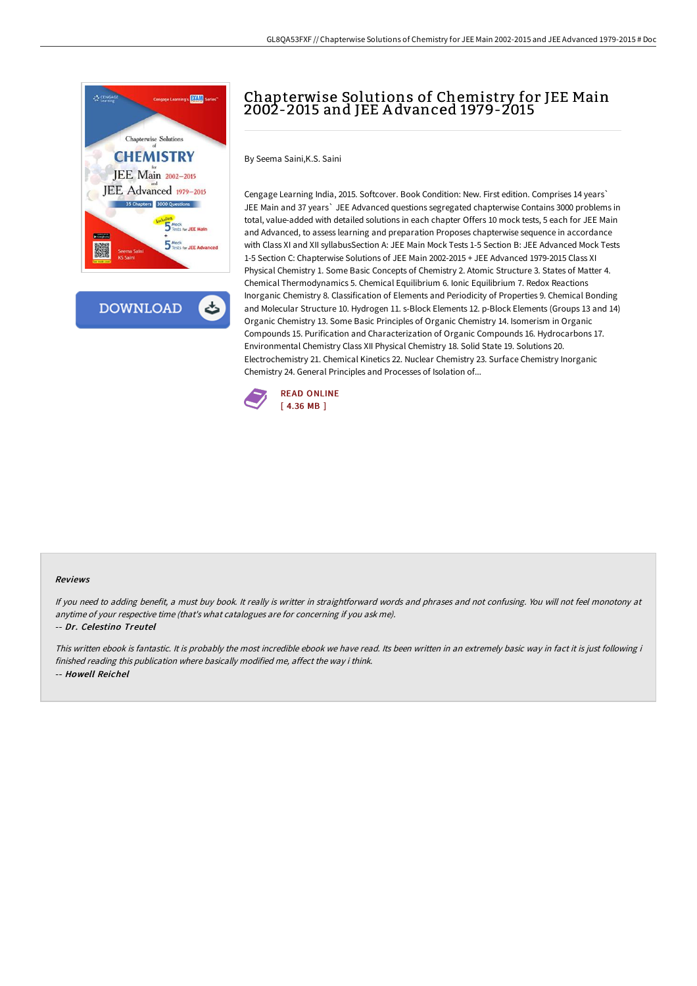

**DOWNLOAD** 

# Chapterwise Solutions of Chemistry for JEE Main 2002-2015 and JEE A dvanced 1979-2015

By Seema Saini,K.S. Saini

Cengage Learning India, 2015. Softcover. Book Condition: New. First edition. Comprises 14 years` JEE Main and 37 years` JEE Advanced questions segregated chapterwise Contains 3000 problems in total, value-added with detailed solutions in each chapter Offers 10 mock tests, 5 each for JEE Main and Advanced, to assess learning and preparation Proposes chapterwise sequence in accordance with Class XI and XII syllabusSection A: JEE Main Mock Tests 1-5 Section B: JEE Advanced Mock Tests 1-5 Section C: Chapterwise Solutions of JEE Main 2002-2015 + JEE Advanced 1979-2015 Class XI Physical Chemistry 1. Some Basic Concepts of Chemistry 2. Atomic Structure 3. States of Matter 4. Chemical Thermodynamics 5. Chemical Equilibrium 6. Ionic Equilibrium 7. Redox Reactions Inorganic Chemistry 8. Classification of Elements and Periodicity of Properties 9. Chemical Bonding and Molecular Structure 10. Hydrogen 11. s-Block Elements 12. p-Block Elements (Groups 13 and 14) Organic Chemistry 13. Some Basic Principles of Organic Chemistry 14. Isomerism in Organic Compounds 15. Purification and Characterization of Organic Compounds 16. Hydrocarbons 17. Environmental Chemistry Class XII Physical Chemistry 18. Solid State 19. Solutions 20. Electrochemistry 21. Chemical Kinetics 22. Nuclear Chemistry 23. Surface Chemistry Inorganic Chemistry 24. General Principles and Processes of Isolation of...



#### Reviews

If you need to adding benefit, <sup>a</sup> must buy book. It really is writter in straightforward words and phrases and not confusing. You will not feel monotony at anytime of your respective time (that's what catalogues are for concerning if you ask me).

#### -- Dr. Celestino Treutel

This written ebook is fantastic. It is probably the most incredible ebook we have read. Its been written in an extremely basic way in fact it is just following i finished reading this publication where basically modified me, affect the way i think. -- Howell Reichel